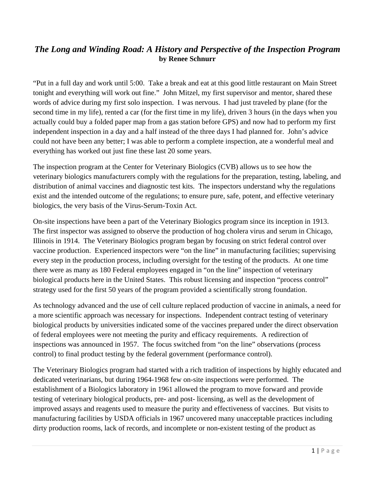## *The Long and Winding Road: A History and Perspective of the Inspection Program*  **by Renee Schnurr**

"Put in a full day and work until 5:00. Take a break and eat at this good little restaurant on Main Street tonight and everything will work out fine." John Mitzel, my first supervisor and mentor, shared these words of advice during my first solo inspection. I was nervous. I had just traveled by plane (for the second time in my life), rented a car (for the first time in my life), driven 3 hours (in the days when you actually could buy a folded paper map from a gas station before GPS) and now had to perform my first independent inspection in a day and a half instead of the three days I had planned for. John's advice could not have been any better; I was able to perform a complete inspection, ate a wonderful meal and everything has worked out just fine these last 20 some years.

The inspection program at the Center for Veterinary Biologics (CVB) allows us to see how the veterinary biologics manufacturers comply with the regulations for the preparation, testing, labeling, and distribution of animal vaccines and diagnostic test kits. The inspectors understand why the regulations exist and the intended outcome of the regulations; to ensure pure, safe, potent, and effective veterinary biologics, the very basis of the Virus-Serum-Toxin Act.

On-site inspections have been a part of the Veterinary Biologics program since its inception in 1913. The first inspector was assigned to observe the production of hog cholera virus and serum in Chicago, Illinois in 1914. The Veterinary Biologics program began by focusing on strict federal control over vaccine production. Experienced inspectors were "on the line" in manufacturing facilities; supervising every step in the production process, including oversight for the testing of the products. At one time there were as many as 180 Federal employees engaged in "on the line" inspection of veterinary biological products here in the United States. This robust licensing and inspection "process control" strategy used for the first 50 years of the program provided a scientifically strong foundation.

As technology advanced and the use of cell culture replaced production of vaccine in animals, a need for a more scientific approach was necessary for inspections. Independent contract testing of veterinary biological products by universities indicated some of the vaccines prepared under the direct observation of federal employees were not meeting the purity and efficacy requirements. A redirection of inspections was announced in 1957. The focus switched from "on the line" observations (process control) to final product testing by the federal government (performance control).

The Veterinary Biologics program had started with a rich tradition of inspections by highly educated and dedicated veterinarians, but during 1964-1968 few on-site inspections were performed. The establishment of a Biologics laboratory in 1961 allowed the program to move forward and provide testing of veterinary biological products, pre- and post- licensing, as well as the development of improved assays and reagents used to measure the purity and effectiveness of vaccines. But visits to manufacturing facilities by USDA officials in 1967 uncovered many unacceptable practices including dirty production rooms, lack of records, and incomplete or non-existent testing of the product as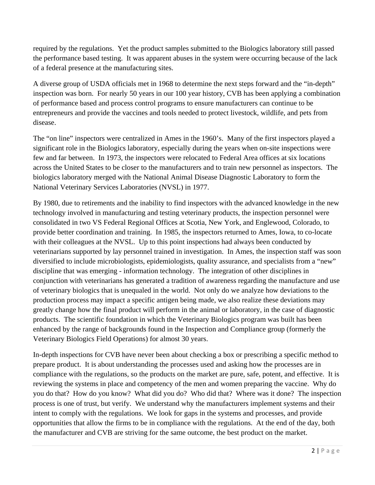required by the regulations. Yet the product samples submitted to the Biologics laboratory still passed the performance based testing. It was apparent abuses in the system were occurring because of the lack of a federal presence at the manufacturing sites.

A diverse group of USDA officials met in 1968 to determine the next steps forward and the "in-depth" inspection was born. For nearly 50 years in our 100 year history, CVB has been applying a combination of performance based and process control programs to ensure manufacturers can continue to be entrepreneurs and provide the vaccines and tools needed to protect livestock, wildlife, and pets from disease.

The "on line" inspectors were centralized in Ames in the 1960's. Many of the first inspectors played a significant role in the Biologics laboratory, especially during the years when on-site inspections were few and far between. In 1973, the inspectors were relocated to Federal Area offices at six locations across the United States to be closer to the manufacturers and to train new personnel as inspectors. The biologics laboratory merged with the National Animal Disease Diagnostic Laboratory to form the National Veterinary Services Laboratories (NVSL) in 1977.

By 1980, due to retirements and the inability to find inspectors with the advanced knowledge in the new technology involved in manufacturing and testing veterinary products, the inspection personnel were consolidated in two VS Federal Regional Offices at Scotia, New York, and Englewood, Colorado, to provide better coordination and training. In 1985, the inspectors returned to Ames, Iowa, to co-locate with their colleagues at the NVSL. Up to this point inspections had always been conducted by veterinarians supported by lay personnel trained in investigation. In Ames, the inspection staff was soon diversified to include microbiologists, epidemiologists, quality assurance, and specialists from a "new" discipline that was emerging - information technology. The integration of other disciplines in conjunction with veterinarians has generated a tradition of awareness regarding the manufacture and use of veterinary biologics that is unequaled in the world. Not only do we analyze how deviations to the production process may impact a specific antigen being made, we also realize these deviations may greatly change how the final product will perform in the animal or laboratory, in the case of diagnostic products. The scientific foundation in which the Veterinary Biologics program was built has been enhanced by the range of backgrounds found in the Inspection and Compliance group (formerly the Veterinary Biologics Field Operations) for almost 30 years.

In-depth inspections for CVB have never been about checking a box or prescribing a specific method to prepare product. It is about understanding the processes used and asking how the processes are in compliance with the regulations, so the products on the market are pure, safe, potent, and effective. It is reviewing the systems in place and competency of the men and women preparing the vaccine. Why do you do that? How do you know? What did you do? Who did that? Where was it done? The inspection process is one of trust, but verify. We understand why the manufacturers implement systems and their intent to comply with the regulations. We look for gaps in the systems and processes, and provide opportunities that allow the firms to be in compliance with the regulations. At the end of the day, both the manufacturer and CVB are striving for the same outcome, the best product on the market.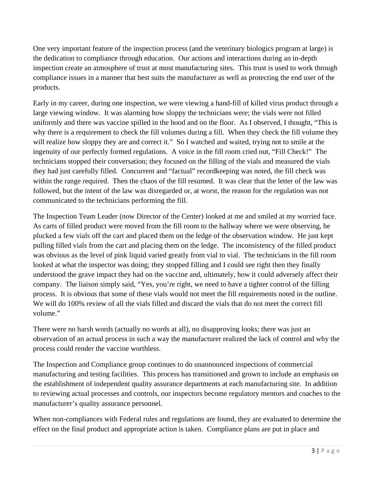One very important feature of the inspection process (and the veterinary biologics program at large) is the dedication to compliance through education. Our actions and interactions during an in-depth inspection create an atmosphere of trust at most manufacturing sites. This trust is used to work through compliance issues in a manner that best suits the manufacturer as well as protecting the end user of the products.

Early in my career, during one inspection, we were viewing a hand-fill of killed virus product through a large viewing window. It was alarming how sloppy the technicians were; the vials were not filled uniformly and there was vaccine spilled in the hood and on the floor. As I observed, I thought, "This is why there is a requirement to check the fill volumes during a fill. When they check the fill volume they will realize how sloppy they are and correct it." So I watched and waited, trying not to smile at the ingenuity of our perfectly formed regulations. A voice in the fill room cried out, "Fill Check!" The technicians stopped their conversation; they focused on the filling of the vials and measured the vials they had just carefully filled. Concurrent and "factual" recordkeeping was noted, the fill check was within the range required. Then the chaos of the fill resumed. It was clear that the letter of the law was followed, but the intent of the law was disregarded or, at worst, the reason for the regulation was not communicated to the technicians performing the fill.

The Inspection Team Leader (now Director of the Center) looked at me and smiled at my worried face. As carts of filled product were moved from the fill room to the hallway where we were observing, he plucked a few vials off the cart and placed them on the ledge of the observation window. He just kept pulling filled vials from the cart and placing them on the ledge. The inconsistency of the filled product was obvious as the level of pink liquid varied greatly from vial to vial. The technicians in the fill room looked at what the inspector was doing; they stopped filling and I could see right then they finally understood the grave impact they had on the vaccine and, ultimately, how it could adversely affect their company. The liaison simply said, "Yes, you're right, we need to have a tighter control of the filling process. It is obvious that some of these vials would not meet the fill requirements noted in the outline. We will do 100% review of all the vials filled and discard the vials that do not meet the correct fill volume."

There were no harsh words (actually no words at all), no disapproving looks; there was just an observation of an actual process in such a way the manufacturer realized the lack of control and why the process could render the vaccine worthless.

The Inspection and Compliance group continues to do unannounced inspections of commercial manufacturing and testing facilities. This process has transitioned and grown to include an emphasis on the establishment of independent quality assurance departments at each manufacturing site. In addition to reviewing actual processes and controls, our inspectors become regulatory mentors and coaches to the manufacturer's quality assurance personnel.

When non-compliances with Federal rules and regulations are found, they are evaluated to determine the effect on the final product and appropriate action is taken. Compliance plans are put in place and